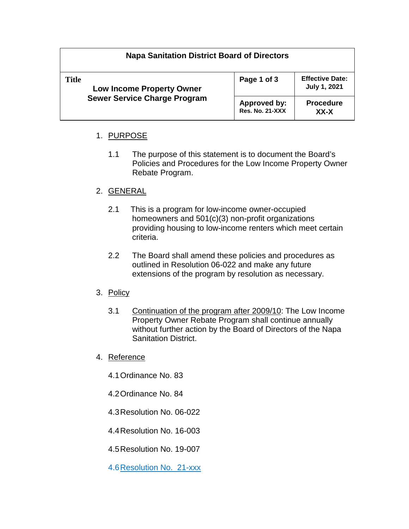# **Napa Sanitation District Board of Directors**

| <b>Title</b><br><b>Low Income Property Owner</b><br><b>Sewer Service Charge Program</b> | Page 1 of 3                                   | <b>Effective Date:</b><br><b>July 1, 2021</b> |
|-----------------------------------------------------------------------------------------|-----------------------------------------------|-----------------------------------------------|
|                                                                                         | <b>Approved by:</b><br><b>Res. No. 21-XXX</b> | <b>Procedure</b><br>XX-X                      |

# 1. PURPOSE

1.1 The purpose of this statement is to document the Board's Policies and Procedures for the Low Income Property Owner Rebate Program.

#### 2. GENERAL

- 2.1 This is a program for low-income owner-occupied homeowners and 501(c)(3) non-profit organizations providing housing to low-income renters which meet certain criteria.
- 2.2 The Board shall amend these policies and procedures as outlined in Resolution 06-022 and make any future extensions of the program by resolution as necessary.
- 3. Policy
	- 3.1 Continuation of the program after 2009/10: The Low Income Property Owner Rebate Program shall continue annually without further action by the Board of Directors of the Napa Sanitation District.
- 4. Reference
	- 4.1Ordinance No. 83
	- 4.2Ordinance No. 84
	- 4.3Resolution No. 06-022
	- 4.4Resolution No. 16-003
	- 4.5Resolution No. 19-007

4.6Resolution No. 21-xxx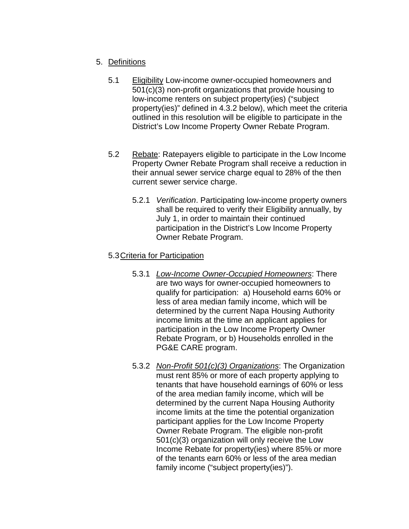## 5. Definitions

- 5.1 Eligibility Low-income owner-occupied homeowners and 501(c)(3) non-profit organizations that provide housing to low-income renters on subject property(ies) ("subject property(ies)" defined in 4.3.2 below), which meet the criteria outlined in this resolution will be eligible to participate in the District's Low Income Property Owner Rebate Program.
- 5.2 Rebate: Ratepayers eligible to participate in the Low Income Property Owner Rebate Program shall receive a reduction in their annual sewer service charge equal to 28% of the then current sewer service charge.
	- 5.2.1 *Verification*. Participating low-income property owners shall be required to verify their Eligibility annually, by July 1, in order to maintain their continued participation in the District's Low Income Property Owner Rebate Program.

# 5.3Criteria for Participation

- 5.3.1 *Low-Income Owner-Occupied Homeowners*: There are two ways for owner-occupied homeowners to qualify for participation: a) Household earns 60% or less of area median family income, which will be determined by the current Napa Housing Authority income limits at the time an applicant applies for participation in the Low Income Property Owner Rebate Program, or b) Households enrolled in the PG&E CARE program.
- 5.3.2 *Non-Profit 501(c)(3) Organizations*: The Organization must rent 85% or more of each property applying to tenants that have household earnings of 60% or less of the area median family income, which will be determined by the current Napa Housing Authority income limits at the time the potential organization participant applies for the Low Income Property Owner Rebate Program. The eligible non-profit 501(c)(3) organization will only receive the Low Income Rebate for property(ies) where 85% or more of the tenants earn 60% or less of the area median family income ("subject property(ies)").